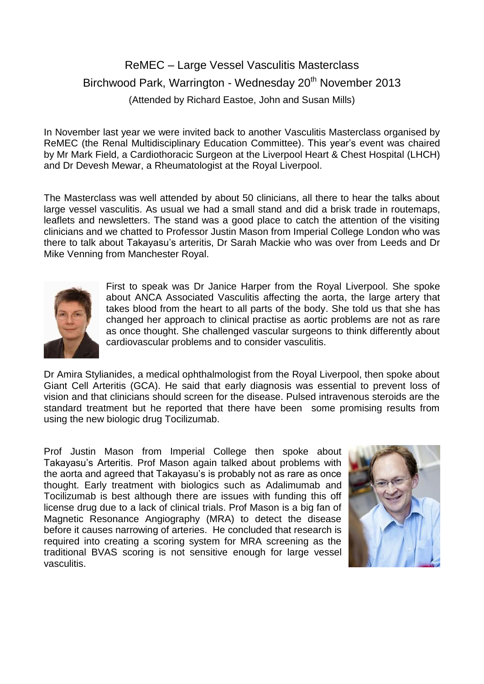## ReMEC – Large Vessel Vasculitis Masterclass Birchwood Park, Warrington - Wednesday 20<sup>th</sup> November 2013 (Attended by Richard Eastoe, John and Susan Mills)

In November last year we were invited back to another Vasculitis Masterclass organised by ReMEC (the Renal Multidisciplinary Education Committee). This year's event was chaired by Mr Mark Field, a Cardiothoracic Surgeon at the Liverpool Heart & Chest Hospital (LHCH) and Dr Devesh Mewar, a Rheumatologist at the Royal Liverpool.

The Masterclass was well attended by about 50 clinicians, all there to hear the talks about large vessel vasculitis. As usual we had a small stand and did a brisk trade in routemaps, leaflets and newsletters. The stand was a good place to catch the attention of the visiting clinicians and we chatted to Professor Justin Mason from Imperial College London who was there to talk about Takayasu's arteritis, Dr Sarah Mackie who was over from Leeds and Dr Mike Venning from Manchester Royal.



First to speak was Dr Janice Harper from the Royal Liverpool. She spoke about ANCA Associated Vasculitis affecting the aorta, the large artery that takes blood from the heart to all parts of the body. She told us that she has changed her approach to clinical practise as aortic problems are not as rare as once thought. She challenged vascular surgeons to think differently about cardiovascular problems and to consider vasculitis.

Dr Amira Stylianides, a medical ophthalmologist from the Royal Liverpool, then spoke about Giant Cell Arteritis (GCA). He said that early diagnosis was essential to prevent loss of vision and that clinicians should screen for the disease. Pulsed intravenous steroids are the standard treatment but he reported that there have been some promising results from using the new biologic drug Tocilizumab.

Prof Justin Mason from Imperial College then spoke about Takayasu's Arteritis. Prof Mason again talked about problems with the aorta and agreed that Takayasu's is probably not as rare as once thought. Early treatment with biologics such as Adalimumab and Tocilizumab is best although there are issues with funding this off license drug due to a lack of clinical trials. Prof Mason is a big fan of Magnetic Resonance Angiography (MRA) to detect the disease before it causes narrowing of arteries. He concluded that research is required into creating a scoring system for MRA screening as the traditional BVAS scoring is not sensitive enough for large vessel vasculitis.